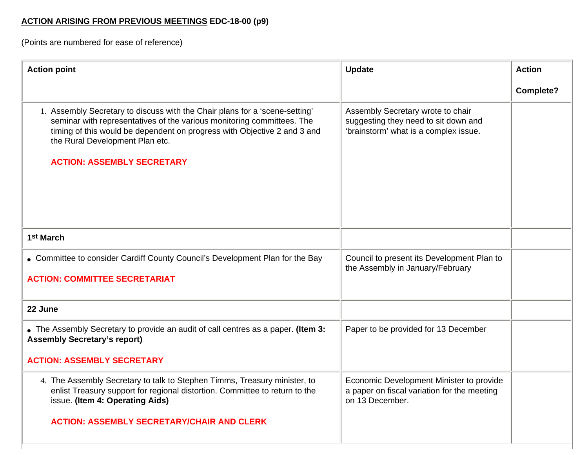## **ACTION ARISING FROM PREVIOUS MEETINGS EDC-18-00 (p9)**

(Points are numbered for ease of reference)

| <b>Action point</b>                                                                                                                                                                                                                                                                                       | <b>Update</b>                                                                                                      | <b>Action</b>    |
|-----------------------------------------------------------------------------------------------------------------------------------------------------------------------------------------------------------------------------------------------------------------------------------------------------------|--------------------------------------------------------------------------------------------------------------------|------------------|
|                                                                                                                                                                                                                                                                                                           |                                                                                                                    | <b>Complete?</b> |
| 1. Assembly Secretary to discuss with the Chair plans for a 'scene-setting'<br>seminar with representatives of the various monitoring committees. The<br>timing of this would be dependent on progress with Objective 2 and 3 and<br>the Rural Development Plan etc.<br><b>ACTION: ASSEMBLY SECRETARY</b> | Assembly Secretary wrote to chair<br>suggesting they need to sit down and<br>'brainstorm' what is a complex issue. |                  |
| 1 <sup>st</sup> March                                                                                                                                                                                                                                                                                     |                                                                                                                    |                  |
| • Committee to consider Cardiff County Council's Development Plan for the Bay                                                                                                                                                                                                                             | Council to present its Development Plan to<br>the Assembly in January/February                                     |                  |
| <b>ACTION: COMMITTEE SECRETARIAT</b>                                                                                                                                                                                                                                                                      |                                                                                                                    |                  |
| 22 June                                                                                                                                                                                                                                                                                                   |                                                                                                                    |                  |
| • The Assembly Secretary to provide an audit of call centres as a paper. (Item 3:<br><b>Assembly Secretary's report)</b>                                                                                                                                                                                  | Paper to be provided for 13 December                                                                               |                  |
| <b>ACTION: ASSEMBLY SECRETARY</b>                                                                                                                                                                                                                                                                         |                                                                                                                    |                  |
| 4. The Assembly Secretary to talk to Stephen Timms, Treasury minister, to<br>enlist Treasury support for regional distortion. Committee to return to the<br>issue. (Item 4: Operating Aids)                                                                                                               | Economic Development Minister to provide<br>a paper on fiscal variation for the meeting<br>on 13 December.         |                  |
| <b>ACTION: ASSEMBLY SECRETARY/CHAIR AND CLERK</b>                                                                                                                                                                                                                                                         |                                                                                                                    |                  |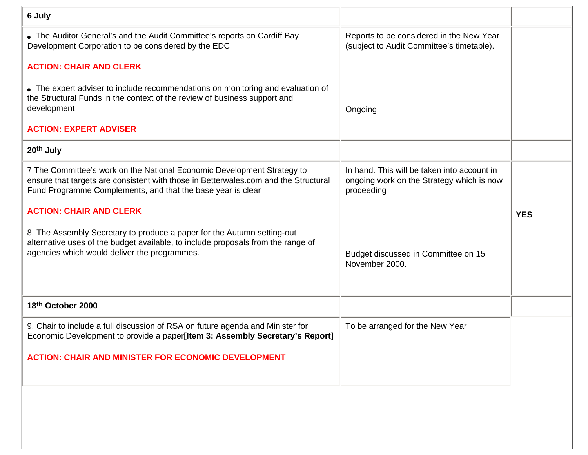| 6 July                                                                                                                                                                                                                        |                                                                                                        |            |
|-------------------------------------------------------------------------------------------------------------------------------------------------------------------------------------------------------------------------------|--------------------------------------------------------------------------------------------------------|------------|
| • The Auditor General's and the Audit Committee's reports on Cardiff Bay<br>Development Corporation to be considered by the EDC                                                                                               | Reports to be considered in the New Year<br>(subject to Audit Committee's timetable).                  |            |
| <b>ACTION: CHAIR AND CLERK</b>                                                                                                                                                                                                |                                                                                                        |            |
| • The expert adviser to include recommendations on monitoring and evaluation of<br>the Structural Funds in the context of the review of business support and<br>development                                                   | Ongoing                                                                                                |            |
| <b>ACTION: EXPERT ADVISER</b>                                                                                                                                                                                                 |                                                                                                        |            |
| 20th July                                                                                                                                                                                                                     |                                                                                                        |            |
| 7 The Committee's work on the National Economic Development Strategy to<br>ensure that targets are consistent with those in Betterwales.com and the Structural<br>Fund Programme Complements, and that the base year is clear | In hand. This will be taken into account in<br>ongoing work on the Strategy which is now<br>proceeding |            |
| <b>ACTION: CHAIR AND CLERK</b>                                                                                                                                                                                                |                                                                                                        | <b>YES</b> |
| 8. The Assembly Secretary to produce a paper for the Autumn setting-out<br>alternative uses of the budget available, to include proposals from the range of<br>agencies which would deliver the programmes.                   | Budget discussed in Committee on 15<br>November 2000.                                                  |            |
| 18th October 2000                                                                                                                                                                                                             |                                                                                                        |            |
|                                                                                                                                                                                                                               |                                                                                                        |            |
| 9. Chair to include a full discussion of RSA on future agenda and Minister for<br>Economic Development to provide a paper[Item 3: Assembly Secretary's Report]                                                                | To be arranged for the New Year                                                                        |            |
| <b>ACTION: CHAIR AND MINISTER FOR ECONOMIC DEVELOPMENT</b>                                                                                                                                                                    |                                                                                                        |            |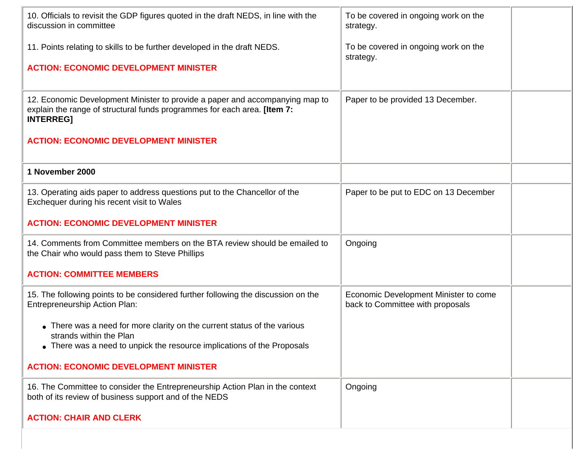| 10. Officials to revisit the GDP figures quoted in the draft NEDS, in line with the<br>discussion in committee                                                                 | To be covered in ongoing work on the<br>strategy.                         |
|--------------------------------------------------------------------------------------------------------------------------------------------------------------------------------|---------------------------------------------------------------------------|
| 11. Points relating to skills to be further developed in the draft NEDS.                                                                                                       | To be covered in ongoing work on the<br>strategy.                         |
| <b>ACTION: ECONOMIC DEVELOPMENT MINISTER</b>                                                                                                                                   |                                                                           |
| 12. Economic Development Minister to provide a paper and accompanying map to<br>explain the range of structural funds programmes for each area. [Item 7:<br><b>INTERREG]</b>   | Paper to be provided 13 December.                                         |
| <b>ACTION: ECONOMIC DEVELOPMENT MINISTER</b>                                                                                                                                   |                                                                           |
| 1 November 2000                                                                                                                                                                |                                                                           |
| 13. Operating aids paper to address questions put to the Chancellor of the<br>Exchequer during his recent visit to Wales                                                       | Paper to be put to EDC on 13 December                                     |
| <b>ACTION: ECONOMIC DEVELOPMENT MINISTER</b>                                                                                                                                   |                                                                           |
| 14. Comments from Committee members on the BTA review should be emailed to<br>the Chair who would pass them to Steve Phillips                                                  | Ongoing                                                                   |
| <b>ACTION: COMMITTEE MEMBERS</b>                                                                                                                                               |                                                                           |
| 15. The following points to be considered further following the discussion on the<br><b>Entrepreneurship Action Plan:</b>                                                      | Economic Development Minister to come<br>back to Committee with proposals |
| • There was a need for more clarity on the current status of the various<br>strands within the Plan<br>• There was a need to unpick the resource implications of the Proposals |                                                                           |
|                                                                                                                                                                                |                                                                           |
| <b>ACTION: ECONOMIC DEVELOPMENT MINISTER</b>                                                                                                                                   |                                                                           |
| 16. The Committee to consider the Entrepreneurship Action Plan in the context<br>both of its review of business support and of the NEDS                                        | Ongoing                                                                   |
| <b>ACTION: CHAIR AND CLERK</b>                                                                                                                                                 |                                                                           |
|                                                                                                                                                                                |                                                                           |